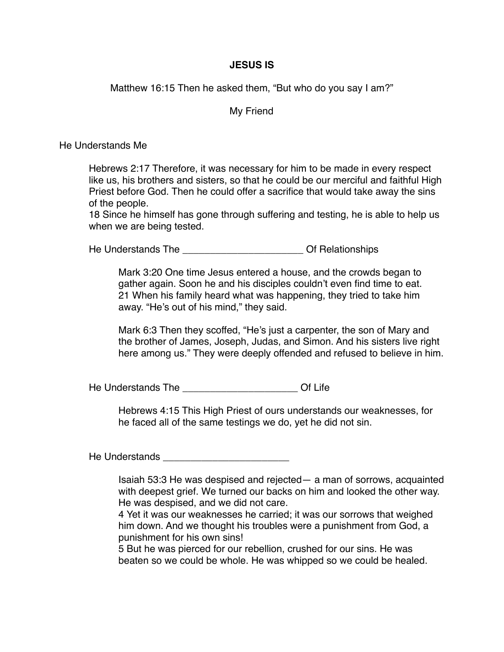## **JESUS IS**

Matthew 16:15 Then he asked them, "But who do you say I am?"

My Friend

He Understands Me

Hebrews 2:17 Therefore, it was necessary for him to be made in every respect like us, his brothers and sisters, so that he could be our merciful and faithful High Priest before God. Then he could offer a sacrifice that would take away the sins of the people.

18 Since he himself has gone through suffering and testing, he is able to help us when we are being tested.

He Understands The **Network** Control of Relationships

Mark 3:20 One time Jesus entered a house, and the crowds began to gather again. Soon he and his disciples couldn't even find time to eat. 21 When his family heard what was happening, they tried to take him away. "He's out of his mind," they said.

Mark 6:3 Then they scoffed, "He's just a carpenter, the son of Mary and the brother of James, Joseph, Judas, and Simon. And his sisters live right here among us." They were deeply offended and refused to believe in him.

He Understands The **Example 20** Of Life

Hebrews 4:15 This High Priest of ours understands our weaknesses, for he faced all of the same testings we do, yet he did not sin.

He Understands \_\_\_\_\_\_\_\_\_\_\_\_\_\_\_\_\_\_\_\_\_\_\_

Isaiah 53:3 He was despised and rejected— a man of sorrows, acquainted with deepest grief. We turned our backs on him and looked the other way. He was despised, and we did not care.

4 Yet it was our weaknesses he carried; it was our sorrows that weighed him down. And we thought his troubles were a punishment from God, a punishment for his own sins!

5 But he was pierced for our rebellion, crushed for our sins. He was beaten so we could be whole. He was whipped so we could be healed.